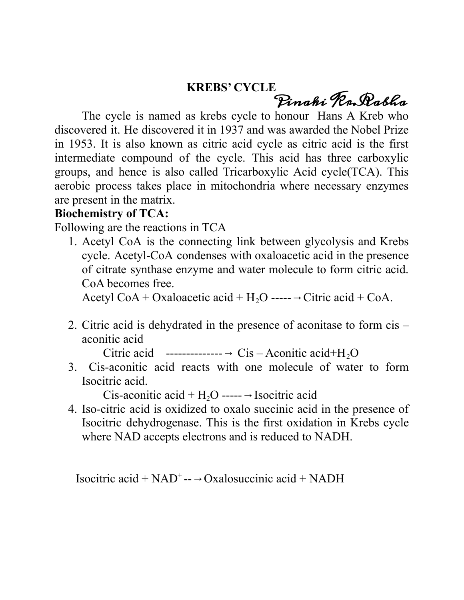## **KREBS' CYCLE**

Pinaki Kr.Rabha

The cycle is named as krebs cycle to honour Hans A Kreb who discovered it. He discovered it in 1937 and was awarded the Nobel Prize in 1953. It is also known as citric acid cycle as citric acid is the first intermediate compound of the cycle. This acid has three carboxylic groups, and hence is also called Tricarboxylic Acid cycle(TCA). This aerobic process takes place in mitochondria where necessary enzymes are present in the matrix.

## **Biochemistry of TCA:**

Following are the reactions in TCA

1. Acetyl CoA is the connecting link between glycolysis and Krebs cycle. Acetyl-CoA condenses with oxaloacetic acid in the presence of citrate synthase enzyme and water molecule to form citric acid. CoA becomes free.

Acetyl CoA + Oxaloacetic acid +  $H_2O$  -----  $\rightarrow$  Citric acid + CoA.

2. Citric acid is dehydrated in the presence of aconitase to form cis – aconitic acid

Citric acid  $\cdots$ -------------  $\rightarrow$  Cis – Aconitic acid+H<sub>2</sub>O

3. Cis-aconitic acid reacts with one molecule of water to form Isocitric acid.

Cis-aconitic acid +  $H_2O$  ----- → Isocitric acid

4. Iso-citric acid is oxidized to oxalo succinic acid in the presence of Isocitric dehydrogenase. This is the first oxidation in Krebs cycle where NAD accepts electrons and is reduced to NADH.

Isocitric acid +  $NAD^+$ -- $\rightarrow$  Oxalosuccinic acid + NADH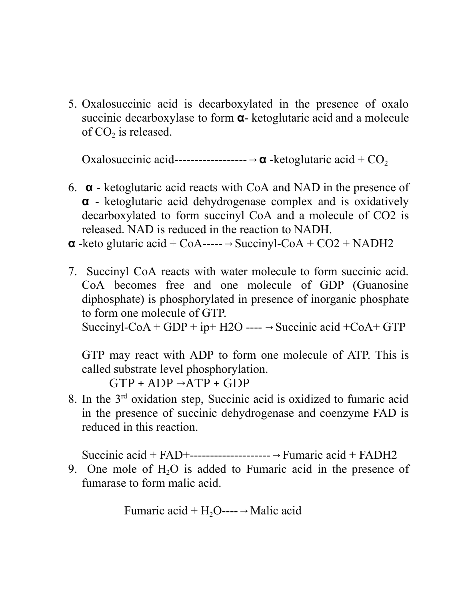5. Oxalosuccinic acid is decarboxylated in the presence of oxalo succinic decarboxylase to form **α**- ketoglutaric acid and a molecule of  $CO<sub>2</sub>$  is released.

Oxalosuccinic acid------------------→**α** -ketoglutaric acid + CO<sup>2</sup>

- 6. **α** ketoglutaric acid reacts with CoA and NAD in the presence of **α** - ketoglutaric acid dehydrogenase complex and is oxidatively decarboxylated to form succinyl CoA and a molecule of CO2 is released. NAD is reduced in the reaction to NADH.
- $\alpha$  -keto glutaric acid + CoA-----  $\rightarrow$  Succinyl-CoA + CO2 + NADH2
- 7. Succinyl CoA reacts with water molecule to form succinic acid. CoA becomes free and one molecule of GDP (Guanosine diphosphate) is phosphorylated in presence of inorganic phosphate to form one molecule of GTP.

Succinyl-CoA + GDP + ip+ H2O ----  $\rightarrow$  Succinic acid +CoA + GTP

GTP may react with ADP to form one molecule of ATP. This is called substrate level phosphorylation.

 $GTP + ADP \rightarrow ATP + GDP$ 

8. In the 3<sup>rd</sup> oxidation step, Succinic acid is oxidized to fumaric acid in the presence of succinic dehydrogenase and coenzyme FAD is reduced in this reaction.

Succinic acid + FAD+--------------------→Fumaric acid + FADH2

9. One mole of  $H<sub>2</sub>O$  is added to Fumaric acid in the presence of fumarase to form malic acid.

Fumaric acid + 
$$
H_2O
$$
---  $\rightarrow$  Malic acid